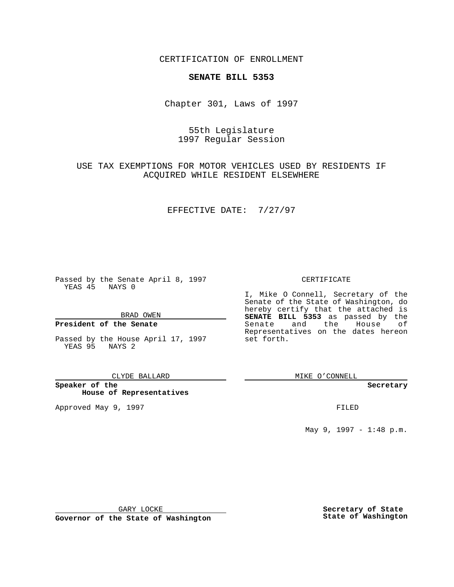CERTIFICATION OF ENROLLMENT

## **SENATE BILL 5353**

Chapter 301, Laws of 1997

# 55th Legislature 1997 Regular Session

# USE TAX EXEMPTIONS FOR MOTOR VEHICLES USED BY RESIDENTS IF ACQUIRED WHILE RESIDENT ELSEWHERE

### EFFECTIVE DATE: 7/27/97

Passed by the Senate April 8, 1997 YEAS 45 NAYS 0

BRAD OWEN

## **President of the Senate**

Passed by the House April 17, 1997 YEAS 95 NAYS 2

#### CLYDE BALLARD

**Speaker of the House of Representatives**

Approved May 9, 1997 **FILED** 

### CERTIFICATE

I, Mike O Connell, Secretary of the Senate of the State of Washington, do hereby certify that the attached is **SENATE BILL 5353** as passed by the Senate and the House of Representatives on the dates hereon set forth.

MIKE O'CONNELL

#### **Secretary**

May 9, 1997 - 1:48 p.m.

GARY LOCKE

**Governor of the State of Washington**

**Secretary of State State of Washington**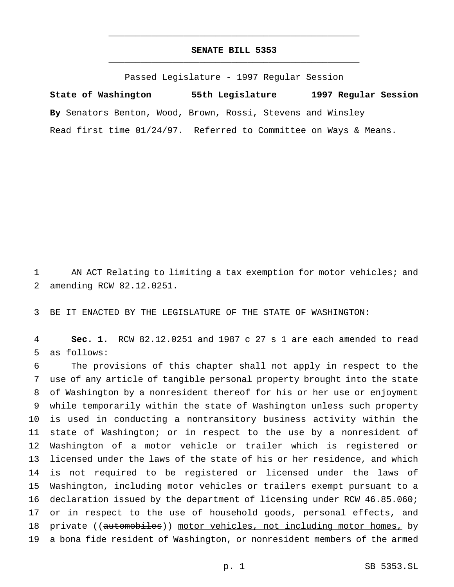## **SENATE BILL 5353** \_\_\_\_\_\_\_\_\_\_\_\_\_\_\_\_\_\_\_\_\_\_\_\_\_\_\_\_\_\_\_\_\_\_\_\_\_\_\_\_\_\_\_\_\_\_\_

\_\_\_\_\_\_\_\_\_\_\_\_\_\_\_\_\_\_\_\_\_\_\_\_\_\_\_\_\_\_\_\_\_\_\_\_\_\_\_\_\_\_\_\_\_\_\_

Passed Legislature - 1997 Regular Session

**State of Washington 55th Legislature 1997 Regular Session By** Senators Benton, Wood, Brown, Rossi, Stevens and Winsley Read first time 01/24/97. Referred to Committee on Ways & Means.

1 AN ACT Relating to limiting a tax exemption for motor vehicles; and 2 amending RCW 82.12.0251.

3 BE IT ENACTED BY THE LEGISLATURE OF THE STATE OF WASHINGTON:

4 **Sec. 1.** RCW 82.12.0251 and 1987 c 27 s 1 are each amended to read 5 as follows:

 The provisions of this chapter shall not apply in respect to the use of any article of tangible personal property brought into the state of Washington by a nonresident thereof for his or her use or enjoyment while temporarily within the state of Washington unless such property is used in conducting a nontransitory business activity within the state of Washington; or in respect to the use by a nonresident of Washington of a motor vehicle or trailer which is registered or licensed under the laws of the state of his or her residence, and which is not required to be registered or licensed under the laws of Washington, including motor vehicles or trailers exempt pursuant to a declaration issued by the department of licensing under RCW 46.85.060; 17 or in respect to the use of household goods, personal effects, and 18 private ((automobiles)) motor vehicles, not including motor homes, by 19 a bona fide resident of Washington, or nonresident members of the armed